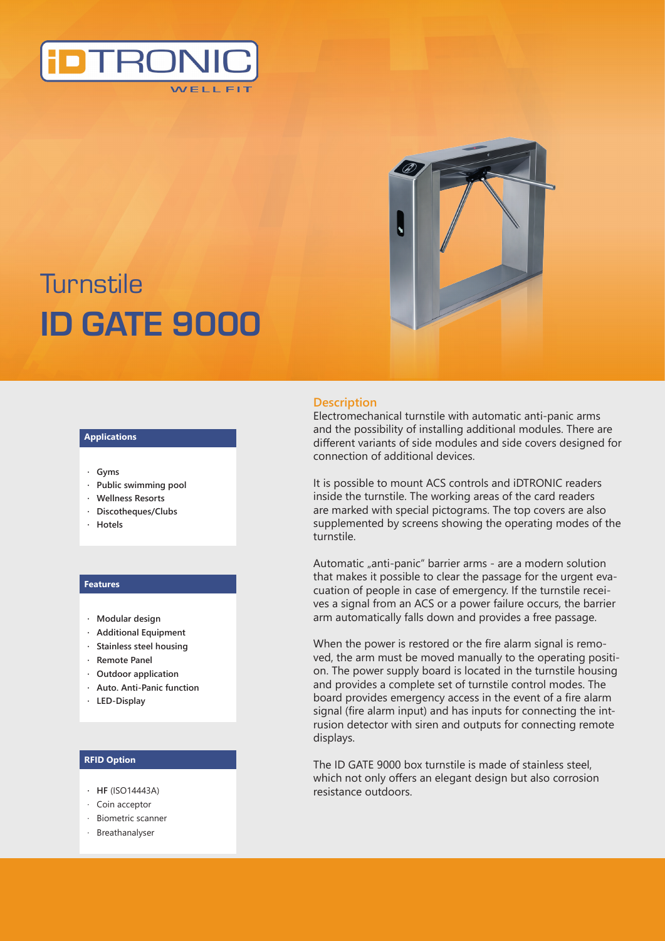



# **Turnstile ID GATE 9000**

#### **Applications**

- **· Gyms**
- **· Public swimming pool**
- **· Wellness Resorts**
- **· Discotheques/Clubs**
- **· Hotels**

#### **Features**

- **· Modular design**
- **· Additional Equipment**
- **· Stainless steel housing**
- **· Remote Panel**
- **· Outdoor application**
- **· Auto. Anti-Panic function**
- **· LED-Display**

## **RFID Option**

- **· HF** (ISO14443A)
- · Coin acceptor
- · Biometric scanner
- · Breathanalyser

## **Description**

Electromechanical turnstile with automatic anti-panic arms and the possibility of installing additional modules. There are different variants of side modules and side covers designed for connection of additional devices.

It is possible to mount ACS controls and iDTRONIC readers inside the turnstile. The working areas of the card readers are marked with special pictograms. The top covers are also supplemented by screens showing the operating modes of the turnstile.

Automatic "anti-panic" barrier arms - are a modern solution that makes it possible to clear the passage for the urgent evacuation of people in case of emergency. If the turnstile receives a signal from an ACS or a power failure occurs, the barrier arm automatically falls down and provides a free passage.

When the power is restored or the fire alarm signal is removed, the arm must be moved manually to the operating position. The power supply board is located in the turnstile housing and provides a complete set of turnstile control modes. The board provides emergency access in the event of a fire alarm signal (fire alarm input) and has inputs for connecting the intrusion detector with siren and outputs for connecting remote displays.

The ID GATE 9000 box turnstile is made of stainless steel, which not only offers an elegant design but also corrosion resistance outdoors.